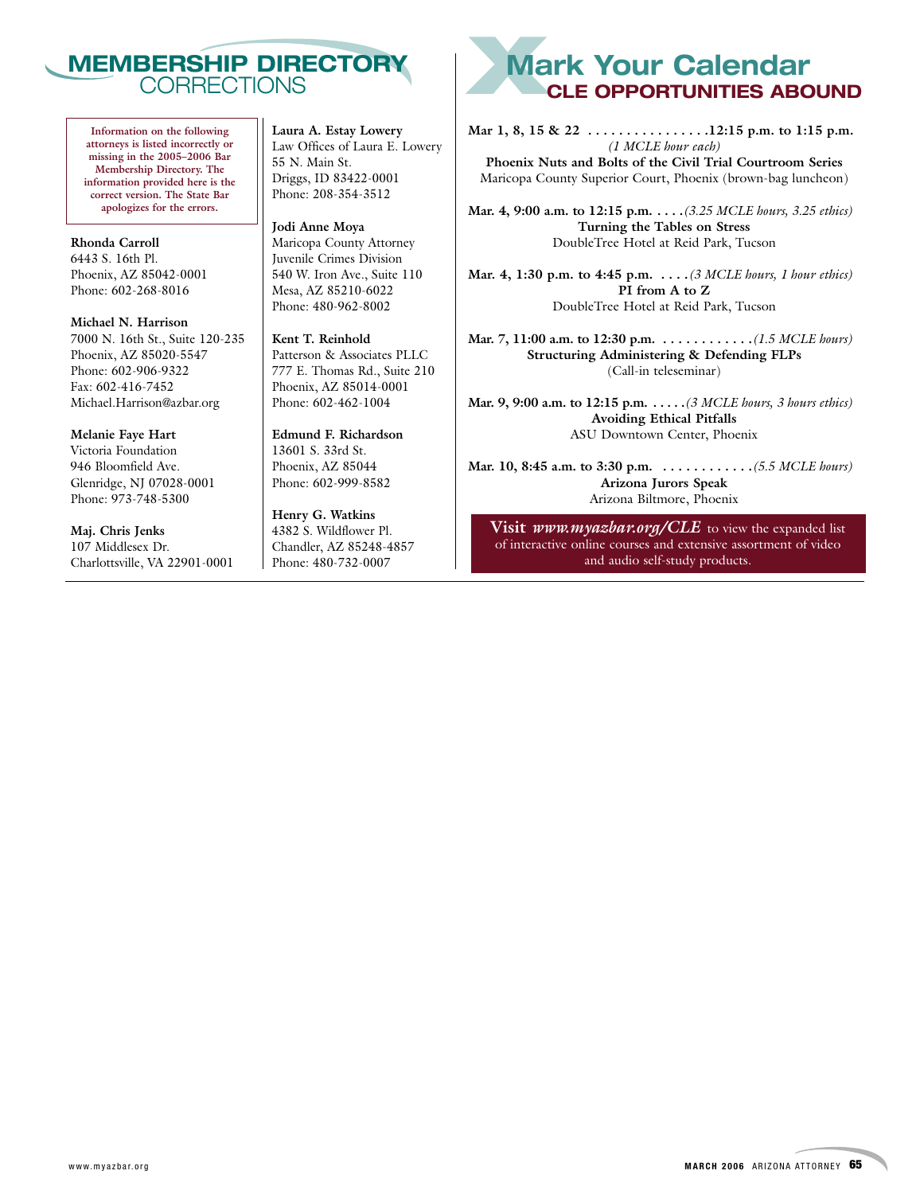

**Information on the following attorneys is listed incorrectly or missing in the 2005–2006 Bar Membership Directory. The information provided here is the correct version. The State Bar apologizes for the errors.**

**Rhonda Carroll** 6443 S. 16th Pl. Phoenix, AZ 85042-0001 Phone: 602-268-8016

**Michael N. Harrison** 7000 N. 16th St., Suite 120-235 Phoenix, AZ 85020-5547 Phone: 602-906-9322 Fax: 602-416-7452 Michael.Harrison@azbar.org

**Melanie Faye Hart** Victoria Foundation 946 Bloomfield Ave. Glenridge, NJ 07028-0001 Phone: 973-748-5300

**Maj. Chris Jenks** 107 Middlesex Dr. Charlottsville, VA 22901-0001 **Laura A. Estay Lowery** Law Offices of Laura E. Lowery 55 N. Main St. Driggs, ID 83422-0001 Phone: 208-354-3512

**Jodi Anne Moya** Maricopa County Attorney Juvenile Crimes Division 540 W. Iron Ave., Suite 110 Mesa, AZ 85210-6022 Phone: 480-962-8002

**Kent T. Reinhold** Patterson & Associates PLLC 777 E. Thomas Rd., Suite 210 Phoenix, AZ 85014-0001 Phone: 602-462-1004

**Edmund F. Richardson** 13601 S. 33rd St. Phoenix, AZ 85044 Phone: 602-999-8582

**Henry G. Watkins** 4382 S. Wildflower Pl. Chandler, AZ 85248-4857 Phone: 480-732-0007

# **XMark Your Calendar CLE OPPORTUNITIES ABOUND**

**Mar 1, 8, 15 & 22 . . . . . . . . . . . . . . . .12:15 p.m. to 1:15 p.m.**  *(1 MCLE hour each)* **Phoenix Nuts and Bolts of the Civil Trial Courtroom Series** Maricopa County Superior Court, Phoenix (brown-bag luncheon)

**Mar. 4, 9:00 a.m. to 12:15 p.m. . . . .***(3.25 MCLE hours, 3.25 ethics)* **Turning the Tables on Stress** DoubleTree Hotel at Reid Park, Tucson

**Mar. 4, 1:30 p.m. to 4:45 p.m. . . . .***(3 MCLE hours, 1 hour ethics)* **PI from A to Z** DoubleTree Hotel at Reid Park, Tucson

**Mar. 7, 11:00 a.m. to 12:30 p.m. . . . . . . . . . . . .***(1.5 MCLE hours)* **Structuring Administering & Defending FLPs** (Call-in teleseminar)

**Mar. 9, 9:00 a.m. to 12:15 p.m. . . . . .***(3 MCLE hours, 3 hours ethics)* **Avoiding Ethical Pitfalls** ASU Downtown Center, Phoenix

**Mar. 10, 8:45 a.m. to 3:30 p.m. . . . . . . . . . . . .***(5.5 MCLE hours)* **Arizona Jurors Speak** Arizona Biltmore, Phoenix

**Visit** *www.myazbar.org/CLE* to view the expanded list of interactive online courses and extensive assortment of video and audio self-study products.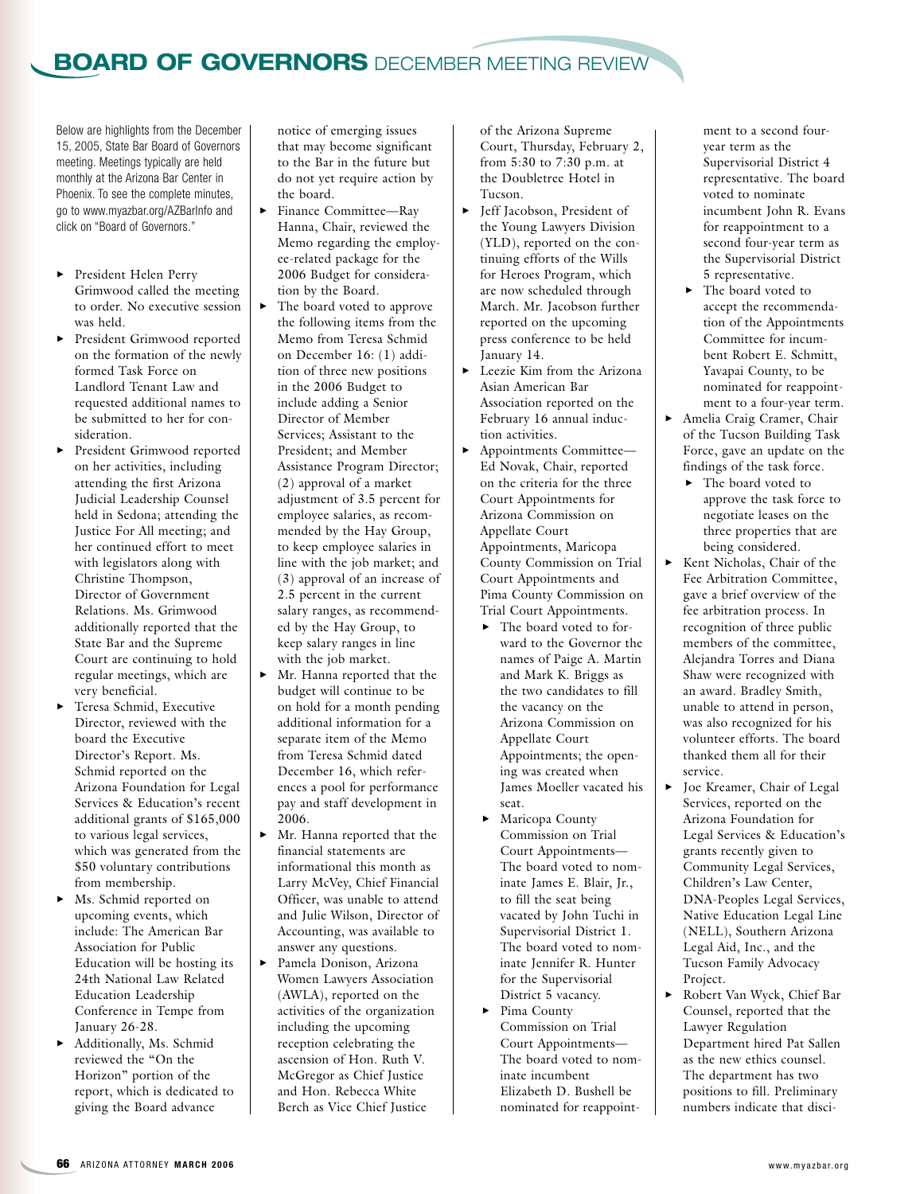## **BOARD OF GOVERNORS** DECEMBER MEETING REVIEW

Below are highlights from the December 15, 2005, State Bar Board of Governors meeting. Meetings typically are held monthly at the Arizona Bar Center in Phoenix. To see the complete minutes, go to www.myazbar.org/AZBarInfo and click on "Board of Governors."

- 3 President Helen Perry Grimwood called the meeting to order. No executive session was held.
- **>** President Grimwood reported on the formation of the newly formed Task Force on Landlord Tenant Law and requested additional names to be submitted to her for consideration.
- **>** President Grimwood reported on her activities, including attending the first Arizona Judicial Leadership Counsel held in Sedona; attending the Justice For All meeting; and her continued effort to meet with legislators along with Christine Thompson, Director of Government Relations. Ms. Grimwood additionally reported that the State Bar and the Supreme Court are continuing to hold regular meetings, which are very beneficial.
- $\blacktriangleright$  Teresa Schmid, Executive Director, reviewed with the board the Executive Director's Report. Ms. Schmid reported on the Arizona Foundation for Legal Services & Education's recent additional grants of \$165,000 to various legal services, which was generated from the \$50 voluntary contributions from membership.
- $\blacktriangleright$  Ms. Schmid reported on upcoming events, which include: The American Bar Association for Public Education will be hosting its 24th National Law Related Education Leadership Conference in Tempe from January 26-28.
- Additionally, Ms. Schmid reviewed the "On the Horizon" portion of the report, which is dedicated to giving the Board advance

notice of emerging issues that may become significant to the Bar in the future but do not yet require action by the board.

- 3 Finance Committee—Ray Hanna, Chair, reviewed the Memo regarding the employee-related package for the 2006 Budget for consideration by the Board.
- The board voted to approve the following items from the Memo from Teresa Schmid on December 16: (1) addition of three new positions in the 2006 Budget to include adding a Senior Director of Member Services; Assistant to the President; and Member Assistance Program Director; (2) approval of a market adjustment of 3.5 percent for employee salaries, as recommended by the Hay Group, to keep employee salaries in line with the job market; and (3) approval of an increase of 2.5 percent in the current salary ranges, as recommended by the Hay Group, to keep salary ranges in line with the job market.  $\blacktriangleright$  Mr. Hanna reported that the
- budget will continue to be on hold for a month pending additional information for a separate item of the Memo from Teresa Schmid dated December 16, which references a pool for performance pay and staff development in 2006.
- Mr. Hanna reported that the financial statements are informational this month as Larry McVey, Chief Financial Officer, was unable to attend and Julie Wilson, Director of Accounting, was available to answer any questions.
- Pamela Donison, Arizona Women Lawyers Association (AWLA), reported on the activities of the organization including the upcoming reception celebrating the ascension of Hon. Ruth V. McGregor as Chief Justice and Hon. Rebecca White Berch as Vice Chief Justice

of the Arizona Supreme Court, Thursday, February 2, from 5:30 to 7:30 p.m. at the Doubletree Hotel in Tucson.

- $\blacktriangleright$  Jeff Jacobson, President of the Young Lawyers Division (YLD), reported on the continuing efforts of the Wills for Heroes Program, which are now scheduled through March. Mr. Jacobson further reported on the upcoming press conference to be held January 14.
- Leezie Kim from the Arizona Asian American Bar Association reported on the February 16 annual induction activities.
- ▶ Appointments Committee— Ed Novak, Chair, reported on the criteria for the three Court Appointments for Arizona Commission on Appellate Court Appointments, Maricopa County Commission on Trial Court Appointments and Pima County Commission on Trial Court Appointments.
	- $\blacktriangleright$  The board voted to forward to the Governor the names of Paige A. Martin and Mark K. Briggs as the two candidates to fill the vacancy on the Arizona Commission on Appellate Court Appointments; the opening was created when James Moeller vacated his seat.
	- Maricopa County Commission on Trial Court Appointments— The board voted to nominate James E. Blair, Jr., to fill the seat being vacated by John Tuchi in Supervisorial District 1. The board voted to nominate Jennifer R. Hunter for the Supervisorial District 5 vacancy.
	- Pima County Commission on Trial Court Appointments— The board voted to nominate incumbent Elizabeth D. Bushell be nominated for reappoint-

ment to a second fouryear term as the Supervisorial District 4 representative. The board voted to nominate incumbent John R. Evans for reappointment to a second four-year term as the Supervisorial District 5 representative.

- $\blacktriangleright$  The board voted to accept the recommendation of the Appointments Committee for incumbent Robert E. Schmitt, Yavapai County, to be nominated for reappointment to a four-year term.
- $\blacktriangleright$  Amelia Craig Cramer, Chair of the Tucson Building Task Force, gave an update on the findings of the task force.
	- $\blacktriangleright$  The board voted to approve the task force to negotiate leases on the three properties that are being considered.
- $\blacktriangleright$  Kent Nicholas, Chair of the Fee Arbitration Committee, gave a brief overview of the fee arbitration process. In recognition of three public members of the committee, Alejandra Torres and Diana Shaw were recognized with an award. Bradley Smith, unable to attend in person, was also recognized for his volunteer efforts. The board thanked them all for their service.
- $\blacktriangleright$  Joe Kreamer, Chair of Legal Services, reported on the Arizona Foundation for Legal Services & Education's grants recently given to Community Legal Services, Children's Law Center, DNA-Peoples Legal Services, Native Education Legal Line (NELL), Southern Arizona Legal Aid, Inc., and the Tucson Family Advocacy Project.
- 3 Robert Van Wyck, Chief Bar Counsel, reported that the Lawyer Regulation Department hired Pat Sallen as the new ethics counsel. The department has two positions to fill. Preliminary numbers indicate that disci-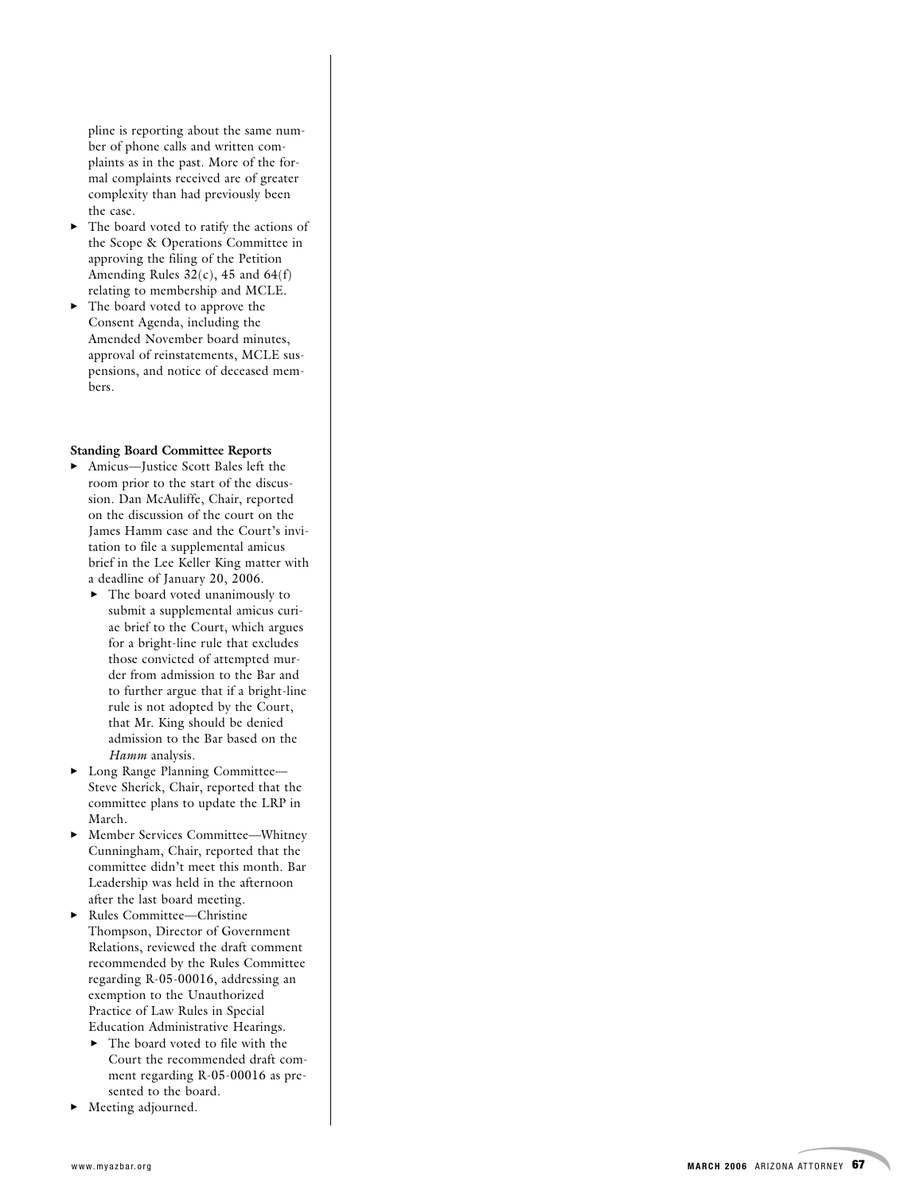pline is reporting about the same number of phone calls and written complaints as in the past. More of the formal complaints received are of greater complexity than had previously been the case.

- The board voted to ratify the actions of the Scope & Operations Committee in approving the filing of the Petition Amending Rules  $32(c)$ , 45 and  $64(f)$ relating to membership and MCLE.
- The board voted to approve the Consent Agenda, including the Amended November board minutes, approval of reinstatements, MCLE suspensions, and notice of deceased members.

#### **Standing Board Committee Reports**

- 3 Amicus—Justice Scott Bales left the room prior to the start of the discussion. Dan McAuliffe, Chair, reported on the discussion of the court on the James Hamm case and the Court's invitation to file a supplemental amicus brief in the Lee Keller King matter with a deadline of January 20, 2006.
	- $\blacktriangleright$  The board voted unanimously to submit a supplemental amicus curi ae brief to the Court, which argues for a bright-line rule that excludes those convicted of attempted mur der from admission to the Bar and to further argue that if a bright-line rule is not adopted by the Court, that Mr. King should be denied admission to the Bar based on the *Hamm* analysis.
- $\blacktriangleright$  Long Range Planning Committee— Steve Sherick, Chair, reported that the committee plans to update the LRP in March.
- $\blacktriangleright$  Member Services Committee—Whitney Cunningham, Chair, reported that the committee didn't meet this month. Bar Leadership was held in the afternoon after the last board meeting.
- ▶ Rules Committee—Christine Thompson, Director of Government Relations, reviewed the draft comment recommended by the Rules Committee regarding R-05-00016, addressing an exemption to the Unauthorized Practice of Law Rules in Special Education Administrative Hearings.
	- $\blacktriangleright$  The board voted to file with the Court the recommended draft comment regarding R-05-00016 as presented to the board.
- Meeting adjourned.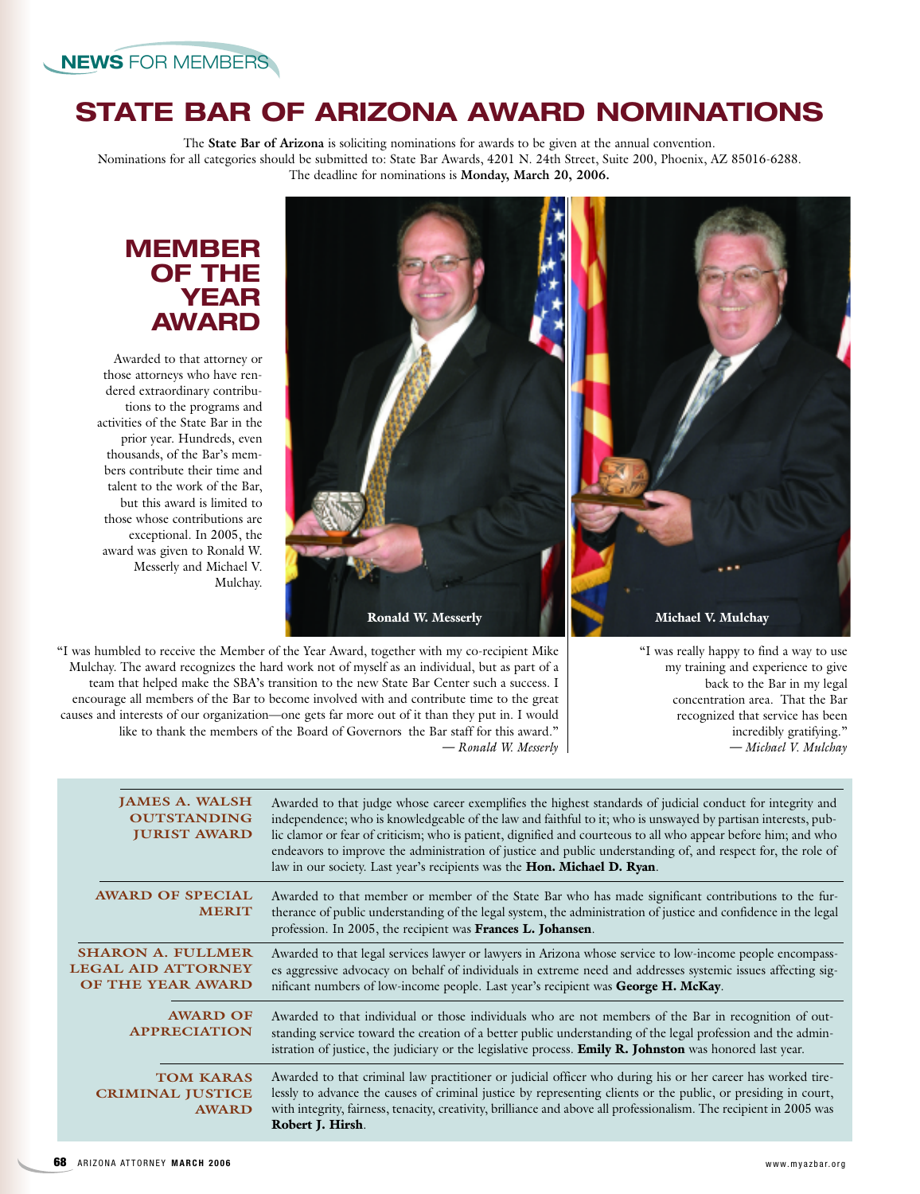Awarded to that attorney or those attorneys who have rendered extraordinary contributions to the programs and activities of the State Bar in the prior year. Hundreds, even thousands, of the Bar's members contribute their time and talent to the work of the Bar, but this award is limited to those whose contributions are exceptional. In 2005, the award was given to Ronald W. Messerly and Michael V.

**MEMBER OF THE YEAR AWARD**

# **STATE BAR OF ARIZONA AWARD NOMINATIONS**

The **State Bar of Arizona** is soliciting nominations for awards to be given at the annual convention. Nominations for all categories should be submitted to: State Bar Awards, 4201 N. 24th Street, Suite 200, Phoenix, AZ 85016-6288. The deadline for nominations is **Monday, March 20, 2006.**



"I was really happy to find a way to use my training and experience to give back to the Bar in my legal concentration area. That the Bar recognized that service has been incredibly gratifying." *— Michael V. Mulchay*

"I was humbled to receive the Member of the Year Award, together with my co-recipient Mike Mulchay. The award recognizes the hard work not of myself as an individual, but as part of a team that helped make the SBA's transition to the new State Bar Center such a success. I encourage all members of the Bar to become involved with and contribute time to the great causes and interests of our organization—one gets far more out of it than they put in. I would like to thank the members of the Board of Governors the Bar staff for this award." *— Ronald W. Messerly*

Mulchay.

| <b>JAMES A. WALSH</b><br><b>OUTSTANDING</b><br><b>JURIST AWARD</b>                | Awarded to that judge whose career exemplifies the highest standards of judicial conduct for integrity and<br>independence; who is knowledgeable of the law and faithful to it; who is unswayed by partisan interests, pub-<br>lic clamor or fear of criticism; who is patient, dignified and courteous to all who appear before him; and who<br>endeavors to improve the administration of justice and public understanding of, and respect for, the role of<br>law in our society. Last year's recipients was the Hon. Michael D. Ryan. |
|-----------------------------------------------------------------------------------|-------------------------------------------------------------------------------------------------------------------------------------------------------------------------------------------------------------------------------------------------------------------------------------------------------------------------------------------------------------------------------------------------------------------------------------------------------------------------------------------------------------------------------------------|
| <b>AWARD OF SPECIAL</b><br><b>MERIT</b>                                           | Awarded to that member or member of the State Bar who has made significant contributions to the fur-<br>therance of public understanding of the legal system, the administration of justice and confidence in the legal<br>profession. In 2005, the recipient was Frances L. Johansen.                                                                                                                                                                                                                                                    |
| <b>SHARON A. FULLMER</b><br><b>LEGAL AID ATTORNEY</b><br><b>OF THE YEAR AWARD</b> | Awarded to that legal services lawyer or lawyers in Arizona whose service to low-income people encompass-<br>es aggressive advocacy on behalf of individuals in extreme need and addresses systemic issues affecting sig-<br>nificant numbers of low-income people. Last year's recipient was George H. McKay.                                                                                                                                                                                                                            |
| <b>AWARD OF</b><br><b>APPRECIATION</b>                                            | Awarded to that individual or those individuals who are not members of the Bar in recognition of out-<br>standing service toward the creation of a better public understanding of the legal profession and the admin-<br>istration of justice, the judiciary or the legislative process. <b>Emily R. Johnston</b> was honored last year.                                                                                                                                                                                                  |
| <b>TOM KARAS</b><br><b>CRIMINAL JUSTICE</b><br><b>AWARD</b>                       | Awarded to that criminal law practitioner or judicial officer who during his or her career has worked tire-<br>lessly to advance the causes of criminal justice by representing clients or the public, or presiding in court,<br>with integrity, fairness, tenacity, creativity, brilliance and above all professionalism. The recipient in 2005 was<br>Robert J. Hirsh.                                                                                                                                                                  |
|                                                                                   |                                                                                                                                                                                                                                                                                                                                                                                                                                                                                                                                           |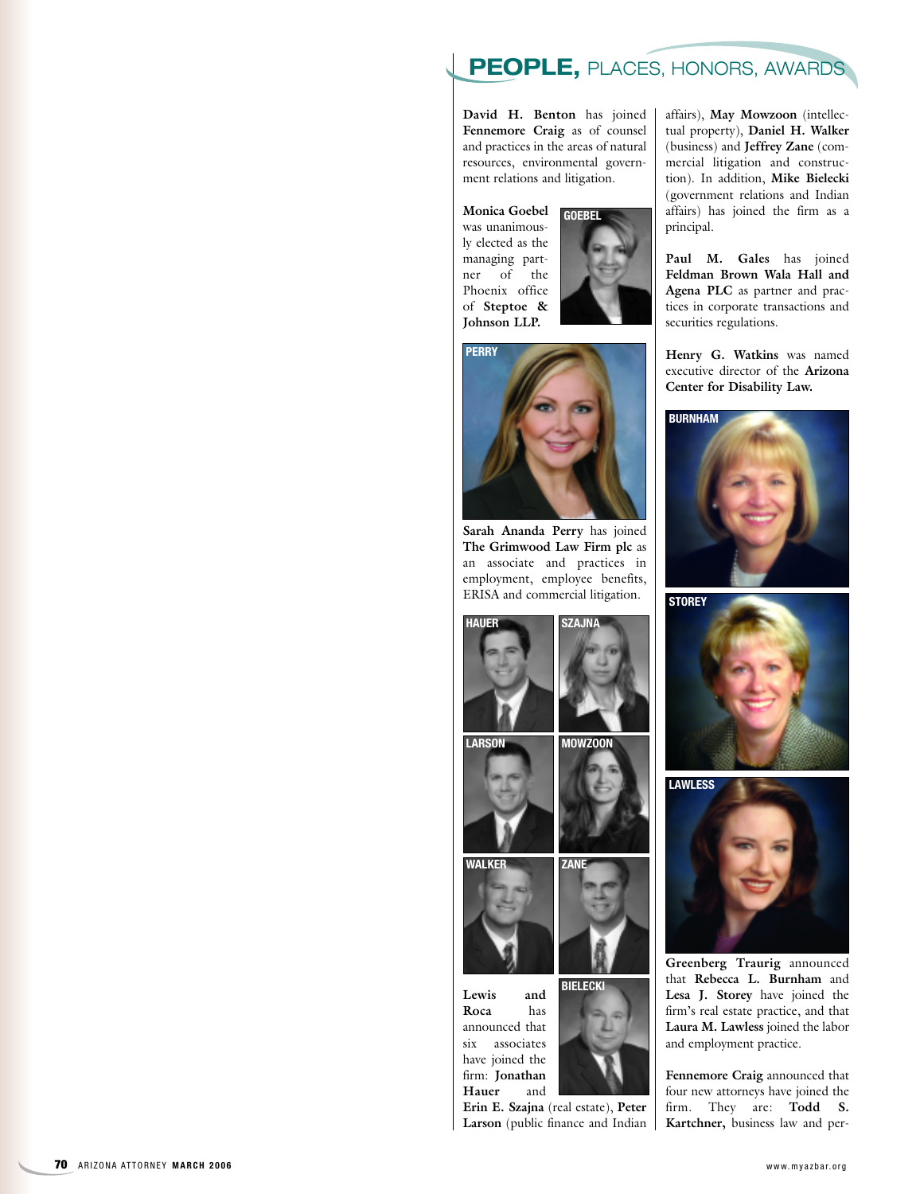## **PEOPLE,** PLACES, HONORS, AWARDS

**David H. Benton** has joined **Fennemore Craig** as of counsel and practices in the areas of natural resources, environmental government relations and litigation.

**Monica Goebel** was unanimously elected as the managing partner of the Phoenix office of **Steptoe & Johnson LLP. GOEBEL**



**PERRY**

**Sarah Ananda Perry** has joined **The Grimwood Law Firm plc** as an associate and practices in employment, employee benefits, ERISA and commercial litigation.



**Lewis and Roca** has announced that six associates have joined the firm: **Jonathan Hauer** and

**Erin E. Szajna** (real estate), **Peter Larson** (public finance and Indian affairs), **May Mowzoon** (intellectual property), **Daniel H. Walker** (business) and **Jeffrey Zane** (commercial litigation and construction). In addition, **Mike Bielecki** (government relations and Indian affairs) has joined the firm as a principal.

**Paul M. Gales** has joined **Feldman Brown Wala Hall and Agena PLC** as partner and practices in corporate transactions and securities regulations.

**Henry G. Watkins** was named executive director of the **Arizona Center for Disability Law.**







**Greenberg Traurig** announced that **Rebecca L. Burnham** and **Lesa J. Storey** have joined the firm's real estate practice, and that **Laura M. Lawless** joined the labor and employment practice.

**Fennemore Craig** announced that four new attorneys have joined the firm. They are: **Todd S. Kartchner,** business law and per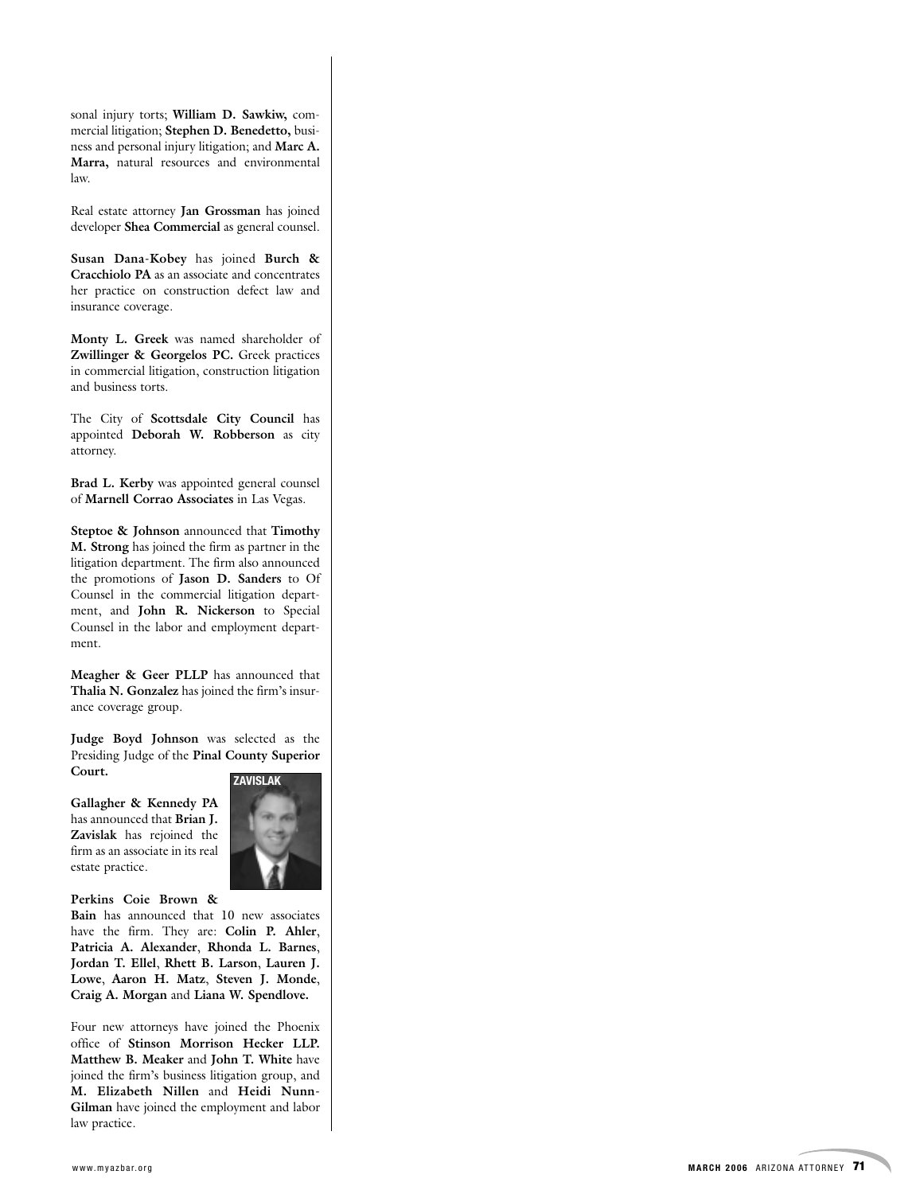sonal injury torts; **William D. Sawkiw,** commercial litigation; **Stephen D. Benedetto,** business and personal injury litigation; and **Marc A. Marra,** natural resources and environmental law.

Real estate attorney **Jan Grossman** has joined developer **Shea Commercial** as general counsel.

**Susan Dana-Kobey** has joined **Burch & Cracchiolo PA** as an associate and concentrates her practice on construction defect law and insurance coverage.

**Monty L. Greek** was named shareholder of **Zwillinger & Georgelos PC.** Greek practices in commercial litigation, construction litigation and business torts.

The City of **Scottsdale City Council** has appointed **Deborah W. Robberson** as city attorney.

**Brad L. Kerby** was appointed general counsel of **Marnell Corrao Associates** in Las Vegas.

**Steptoe & Johnson** announced that **Timothy M. Strong** has joined the firm as partner in the litigation department. The firm also announced the promotions of **Jason D. Sanders** to Of Counsel in the commercial litigation department, and **John R. Nickerson** to Special Counsel in the labor and employment department.

**Meagher & Geer PLLP** has announced that **Thalia N. Gonzalez** has joined the firm's insurance coverage group.

**Judge Boyd Johnson** was selected as the Presiding Judge of the **Pinal County Superior Court.**

**ZAVISLAK**

**Gallagher & Kennedy PA** has announced that **Brian J. Zavislak** has rejoined the firm as an associate in its real estate practice.



**Perkins Coie Brown &**

**Bain** has announced that 10 new associates have the firm. They are: **Colin P. Ahler** , **Patricia A. Alexander**, **Rhonda L. Barnes** , **Jordan T. Ellel**, **Rhett B. Larson**, **Lauren J. Lowe**, **Aaron H. Matz**, **Steven J. Monde** , **Craig A. Morgan** and **Liana W. Spendlove.**

Four new attorneys have joined the Phoenix office of **Stinson Morrison Hecker LLP. Matthew B. Meaker** and **John T. White** have joined the firm's business litigation group, and **M. Elizabeth Nillen** and **Heidi Nunn-Gilman** have joined the employment and labor law practice.